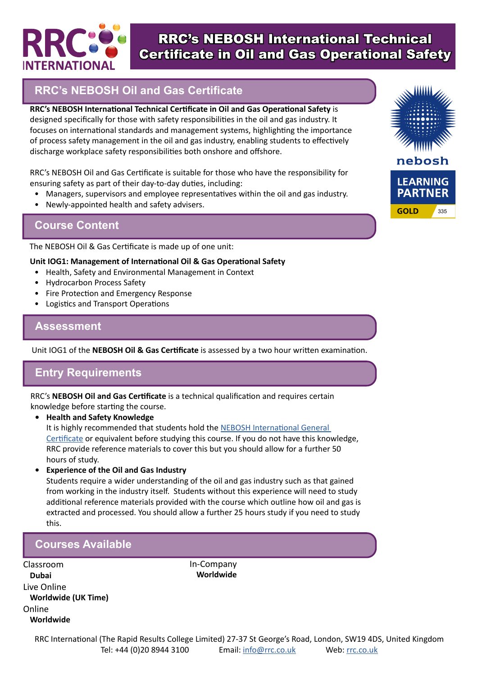

# RRC's NEBOSH International Technical Certificate in Oil and Gas Operational Safety

## **RRC's NEBOSH Oil and Gas Certificate**

**RRC's NEBOSH International Technical Certificate in Oil and Gas Operational Safety** is designed specifically for those with safety responsibilities in the oil and gas industry. It focuses on international standards and management systems, highlighting the importance of process safety management in the oil and gas industry, enabling students to effectively discharge workplace safety responsibilities both onshore and offshore.

RRC's NEBOSH Oil and Gas Certificate is suitable for those who have the responsibility for ensuring safety as part of their day-to-day duties, including:

- Managers, supervisors and employee representatives within the oil and gas industry.
- Newly-appointed health and safety advisers.

## **Course Content**

The NEBOSH Oil & Gas Certificate is made up of one unit:

#### **Unit IOG1: Management of International Oil & Gas Operational Safety**

- Health, Safety and Environmental Management in Context
- Hydrocarbon Process Safety
- Fire Protection and Emergency Response
- Logistics and Transport Operations

### **Assessment**

Unit IOG1 of the **NEBOSH Oil & Gas Certificate** is assessed by a two hour written examination.

## **Entry Requirements**

RRC's **NEBOSH Oil and Gas Certificate** is a technical qualification and requires certain knowledge before starting the course.

**• Health and Safety Knowledge**

It is highly recommended that students hold the NEBOSH International General [Certificate](https://www.rrc.co.uk/nebosh/nebosh-certificate/nebosh-international-certificate.aspx) or equivalent before studying this course. If you do not have this knowledge, RRC provide reference materials to cover this but you should allow for a further 50 hours of study.

**• Experience of the Oil and Gas Industry**

Students require a wider understanding of the oil and gas industry such as that gained from working in the industry itself. Students without this experience will need to study additional reference materials provided with the course which outline how oil and gas is extracted and processed. You should allow a further 25 hours study if you need to study this.

> In-Company **Worldwide**

## **Courses Available**

Classroom **Dubai** Live Online **Worldwide (UK Time)** Online **Worldwide**

nebosh **LEARNING PARTNER GOLD** 335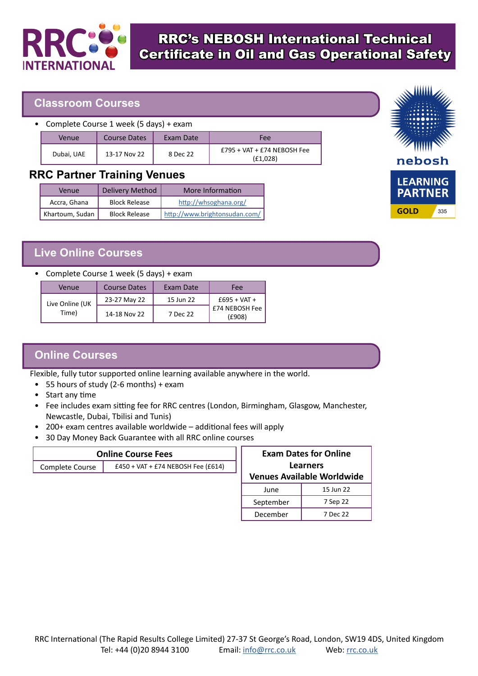

# RRC's NEBOSH International Technical Certificate in Oil and Gas Operational Safety

### **Classroom Courses**

• Complete Course 1 week (5 days) + exam

| Venue      | Course Dates | Exam Date | Fee                                       |
|------------|--------------|-----------|-------------------------------------------|
| Dubai, UAE | 13-17 Nov 22 | 8 Dec 22  | $£795 + VAT + £74 NEBOSH Fee$<br>(E1,028) |

### **RRC Partner Training Venues**

| Venue           | <b>Delivery Method</b> | More Information              |
|-----------------|------------------------|-------------------------------|
| Accra, Ghana    | <b>Block Release</b>   | http://whsoghana.org/         |
| Khartoum, Sudan | <b>Block Release</b>   | http://www.brightonsudan.com/ |

## **Live Online Courses**

#### • Complete Course 1 week (5 days) + exam

| Venue                    | Course Dates | Exam Date | Fee                      |
|--------------------------|--------------|-----------|--------------------------|
| Live Online (UK<br>Time) | 23-27 May 22 | 15 Jun 22 | $£695 + VAT +$           |
|                          | 14-18 Nov 22 | 7 Dec 22  | £74 NEBOSH Fee<br>(£908) |

## **Online Courses**

Flexible, fully tutor supported online learning available anywhere in the world.

- 55 hours of study (2-6 months) + exam
- Start any time
- Fee includes exam sitting fee for RRC centres (London, Birmingham, Glasgow, Manchester, Newcastle, Dubai, Tbilisi and Tunis)
- 200+ exam centres available worldwide additional fees will apply
- 30 Day Money Back Guarantee with all RRC online courses

| <b>Online Course Fees</b> |                                    |  |
|---------------------------|------------------------------------|--|
| Complete Course           | £450 + VAT + £74 NEBOSH Fee (£614) |  |
|                           |                                    |  |

| <b>Exam Dates for Online</b><br><b>Learners</b> |           |  |
|-------------------------------------------------|-----------|--|
| <b>Venues Available Worldwide</b>               |           |  |
| June                                            | 15 Jun 22 |  |
| September                                       | 7 Sep 22  |  |
| December                                        | 7 Dec 22  |  |